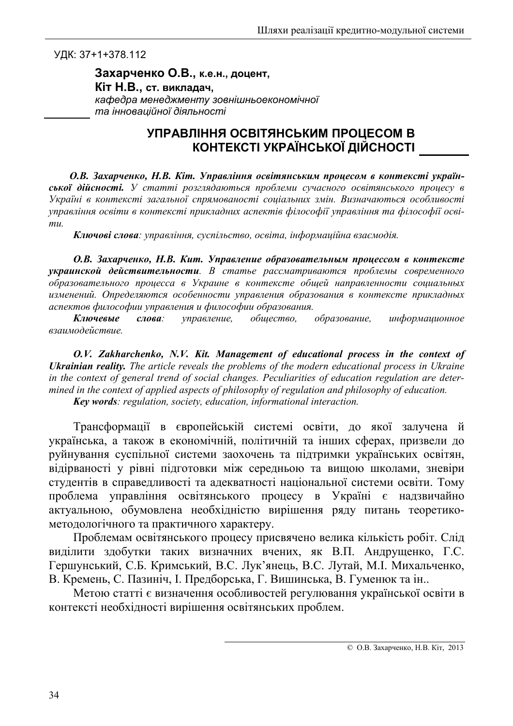УДК: 37+1+378.112

Захарченко О.В., к.е.н., доцент, Кіт Н.В., ст. викладач, кафедра менеджменту зовнішньоекономічної та інноваційної діяльності

## УПРАВЛІННЯ ОСВІТЯНСЬКИМ ПРОЦЕСОМ В КОНТЕКСТІ УКРАЇНСЬКОЇ ДІЙСНОСТІ

О.В. Захарченко, Н.В. Кіт. Управління освітянським процесом в контексті української дійсності. У статті розглядаються проблеми сучасного освітянського процесу в Україні в контексті загальної спрямованості соціальних змін. Визначаються особливості управління освіти в контексті прикладних аспектів філософії управління та філософії осві $mu$ 

Ключові слова: управління, суспільство, освіта, інформаційна взаємодія.

О.В. Захарченко, Н.В. Кит. Управление образовательным процессом в контексте украинской действительности. В статье рассматриваются проблемы современного образовательного процесса в Украине в контексте общей направленности социальных изменений. Определяются особенности управления образования в контексте прикладных аспектов философии управления и философии образования.

управление, Ключевые  $c$ лова: общество, образование, информационное взаимодействие.

O.V. Zakharchenko, N.V. Kit. Management of educational process in the context of **Ukrainian reality.** The article reveals the problems of the modern educational process in Ukraine in the context of general trend of social changes. Peculiarities of education regulation are determined in the context of applied aspects of philosophy of regulation and philosophy of education. Key words: regulation, society, education, informational interaction.

Трансформації в європейській системі освіти, до якої залучена й українська, а також в економічній, політичній та інших сферах, призвели до руйнування суспільної системи заохочень та підтримки українських освітян, відірваності у рівні підготовки між середньою та вищою школами, зневіри студентів в справедливості та адекватності національної системи освіти. Тому проблема управління освітянського процесу в Україні є надзвичайно актуальною, обумовлена необхідністю вирішення ряду питань теоретикометодологічного та практичного характеру.

Проблемам освітянського процесу присвячено велика кількість робіт. Слід виділити здобутки таких визначних вчених, як В.П. Андрущенко, Г.С. Гершунський, С.Б. Кримський, В.С. Лук'янець, В.С. Лутай, М.І. Михальченко, В. Кремень, С. Пазиніч, І. Предборська, Г. Вишинська, В. Гуменюк та ін..

Метою статті є визначення особливостей регулювання української освіти в контексті необхідності вирішення освітянських проблем.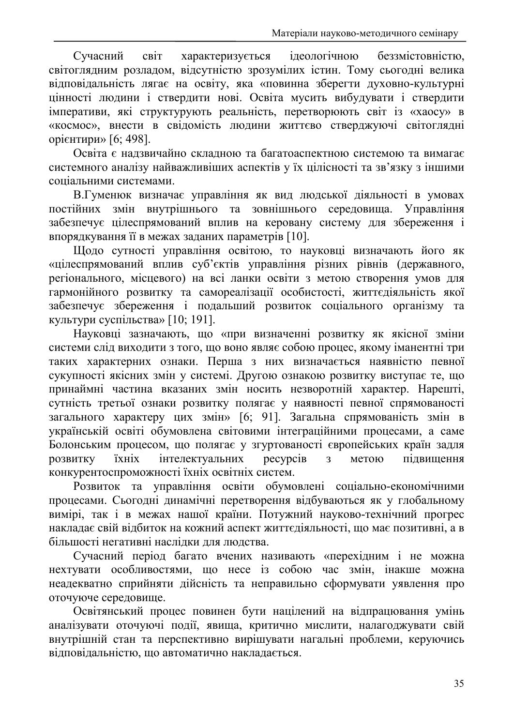Сучасний світ характеризується ілеологічною беззмістовністю. світоглядним розладом, відсутністю зрозумілих істин. Тому сьогодні велика відповідальність лягає на освіту, яка «повинна зберегти духовно-культурні цінності людини і ствердити нові. Освіта мусить вибудувати і ствердити імперативи, які структурують реальність, перетворюють світ із «хаосу» в «космос», внести в свідомість людини життєво стверджуючі світоглядні opieнтири» [6: 498].

Освіта є надзвичайно складною та багатоаспектною системою та вимагає системного аналізу найважливіших аспектів у їх цілісності та зв'язку з іншими соціальними системами.

В.Гуменюк визначає управління як вид людської діяльності в умовах постійних змін внутрішнього та зовнішнього середовища. Управління забезпечує цілеспрямований вплив на керовану систему для збереження і впорядкування її в межах заданих параметрів [10].

Щодо сутності управління освітою, то науковці визначають його як «цілеспрямований вплив суб'єктів управління різних рівнів (державного, регіонального, місцевого) на всі ланки освіти з метою створення умов для гармонійного розвитку та самореалізації особистості, життєдіяльність якої забезпечує збереження і подальший розвиток соціального організму та культури суспільства» [10; 191].

Науковці зазначають, що «при визначенні розвитку як якісної зміни системи слід виходити з того, що воно являє собою процес, якому іманентні три таких характерних ознаки. Перша з них визначається наявністю певної сукупності якісних змін у системі. Другою ознакою розвитку виступає те, що принаймні частина вказаних змін носить незворотній характер. Нарешті, сутність третьої ознаки розвитку полягає у наявності певної спрямованості загального характеру цих змін» [6; 91]. Загальна спрямованість змін в українській освіті обумовлена світовими інтеграційними процесами, а саме Болонським процесом, що полягає у згуртованості європейських країн задля їхніх інтелектуальних pecypcis метою пілвишення **DO3BИTKV**  $\overline{3}$ конкурентоспроможності їхніх освітніх систем.

Розвиток та управління освіти обумовлені соціально-економічними процесами. Сьогодні динамічні перетворення відбуваються як у глобальному вимірі, так і в межах нашої країни. Потужний науково-технічний прогрес накладає свій відбиток на кожний аспект життєдіяльності, що має позитивні, а в більшості негативні наслідки для людства.

Сучасний період багато вчених називають «перехідним і не можна нехтувати особливостями, що несе із собою час змін, інакше можна неадекватно сприйняти дійсність та неправильно сформувати уявлення про оточуюче середовище.

Освітянський процес повинен бути націлений на відпрацювання умінь аналізувати оточуючі події, явища, критично мислити, налагоджувати свій внутрішній стан та перспективно вирішувати нагальні проблеми, керуючись відповідальністю, що автоматично накладається.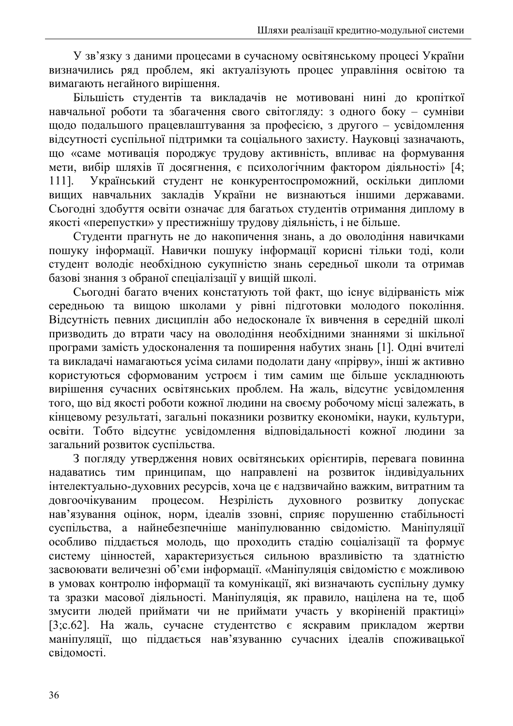У зв'язку з даними процесами в сучасному освітянському процесі України визначились ряд проблем, які актуалізують процес управління освітою та вимагають негайного вирішення.

Більшість студентів та викладачів не мотивовані нині до кропіткої навчальної роботи та збагачення свого світогляду: з одного боку - сумніви шодо подальшого працевлаштування за професією, з другого - усвідомлення відсутності суспільної підтримки та соціального захисту. Науковці зазначають, що «саме мотивація породжує трудову активність, впливає на формування мети, вибір шляхів її досягнення, є психологічним фактором діяльності» [4; Український студент не конкурентоспроможний, оскільки дипломи 1111. вищих навчальних закладів України не визнаються іншими державами. Сьогодні здобуття освіти означає для багатьох студентів отримання диплому в якості «перепустки» у престижнішу трудову діяльність, і не більше.

Студенти прагнуть не до накопичення знань, а до оволодіння навичками пошуку інформації. Навички пошуку інформації корисні тільки тоді, коли студент володіє необхідною сукупністю знань середньої школи та отримав базові знання з обраної спеціалізації у вищій школі.

Сьогодні багато вчених констатують той факт, що існує відірваність між середньою та вищою школами у рівні підготовки молодого покоління. Відсутність певних дисциплін або недосконале їх вивчення в середній школі призводить до втрати часу на оволодіння необхідними знаннями зі шкільної програми замість удосконалення та поширення набутих знань [1]. Одні вчителі та викладачі намагаються усіма силами подолати дану «прірву», інші ж активно користуються сформованим устроєм і тим самим ще більше ускладнюють вирішення сучасних освітянських проблем. На жаль, відсутнє усвідомлення того, що від якості роботи кожної людини на своєму робочому місці залежать, в кінцевому результаті, загальні показники розвитку економіки, науки, культури, освіти. Тобто відсутнє усвідомлення відповідальності кожної людини за загальний розвиток суспільства.

З погляду утвердження нових освітянських орієнтирів, перевага повинна надаватись тим принципам, що направлені на розвиток індивідуальних інтелектуально-духовних ресурсів, хоча це є надзвичайно важким, витратним та Незрілість довгоочікуваним процесом. духовного розвитку допускає нав'язування оцінок, норм, ідеалів ззовні, сприяє порушенню стабільності суспільства, а найнебезпечніше маніпулюванню свідомістю. Маніпуляції особливо піддається молодь, що проходить стадію соціалізації та формує систему цінностей, характеризується сильною вразливістю та здатністю засвоювати величезні об'єми інформації. «Маніпуляція свідомістю є можливою в умовах контролю інформації та комунікації, які визначають суспільну думку та зразки масової діяльності. Маніпуляція, як правило, націлена на те, щоб змусити людей приймати чи не приймати участь у вкоріненій практиці» [3; с. 62]. На жаль, сучасне студентство є яскравим прикладом жертви маніпуляції, що піддається нав'язуванню сучасних ідеалів споживацької свідомості.